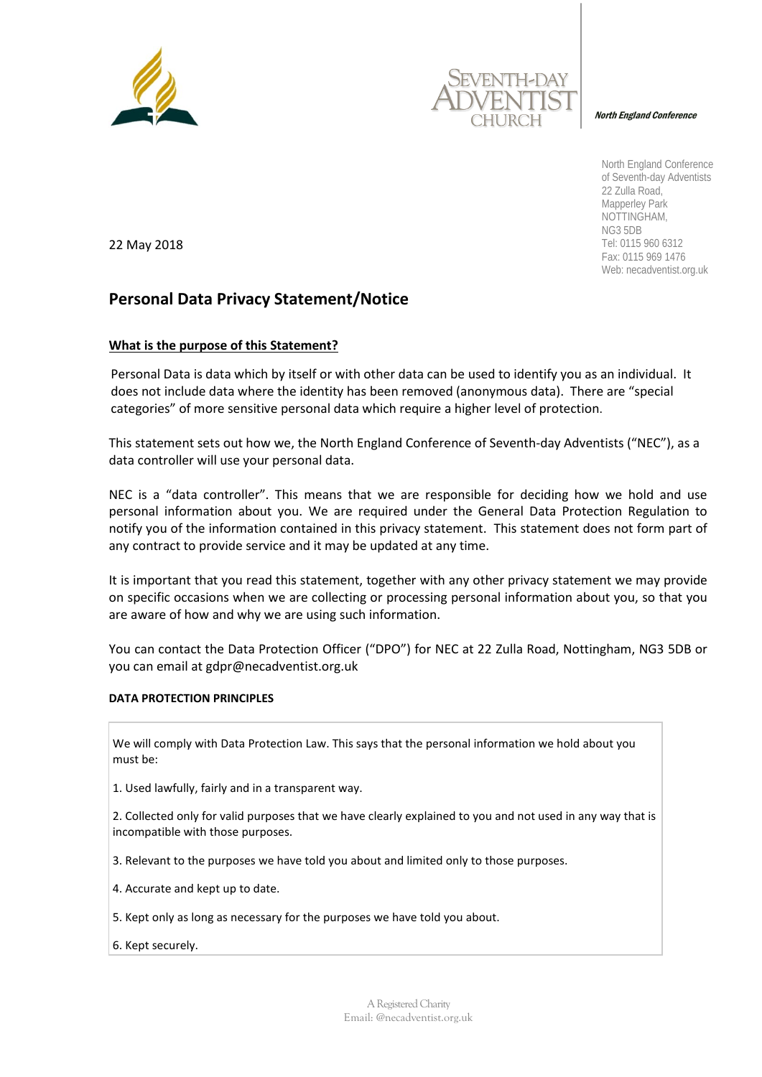



North England Conference

North England Conference of Seventh-day Adventists 22 Zulla Road, Mapperley Park NOTTINGHAM, NG3 5DB Tel: 0115 960 6312 Fax: 0115 969 1476 Web: necadventist.org.uk

22 May 2018

# **Personal Data Privacy Statement/Notice**

# **What is the purpose of this Statement?**

Personal Data is data which by itself or with other data can be used to identify you as an individual. It does not include data where the identity has been removed (anonymous data). There are "special categories" of more sensitive personal data which require a higher level of protection.

This statement sets out how we, the North England Conference of Seventh-day Adventists ("NEC"), as a data controller will use your personal data.

NEC is a "data controller". This means that we are responsible for deciding how we hold and use personal information about you. We are required under the General Data Protection Regulation to notify you of the information contained in this privacy statement. This statement does not form part of any contract to provide service and it may be updated at any time.

It is important that you read this statement, together with any other privacy statement we may provide on specific occasions when we are collecting or processing personal information about you, so that you are aware of how and why we are using such information.

You can contact the Data Protection Officer ("DPO") for NEC at 22 Zulla Road, Nottingham, NG3 5DB or you can email at gdpr@necadventist.org.uk

# **DATA PROTECTION PRINCIPLES**

We will comply with Data Protection Law. This says that the personal information we hold about you must be:

1. Used lawfully, fairly and in a transparent way.

2. Collected only for valid purposes that we have clearly explained to you and not used in any way that is incompatible with those purposes.

3. Relevant to the purposes we have told you about and limited only to those purposes.

- 4. Accurate and kept up to date.
- 5. Kept only as long as necessary for the purposes we have told you about.
- 6. Kept securely.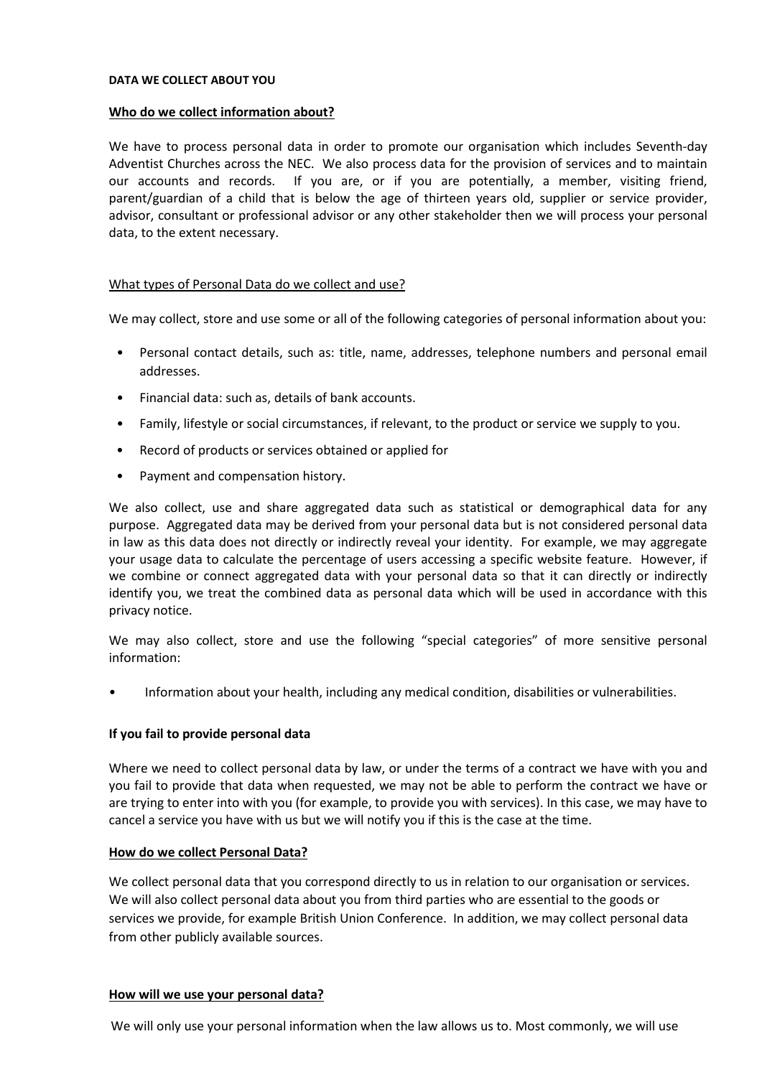#### **DATA WE COLLECT ABOUT YOU**

#### **Who do we collect information about?**

We have to process personal data in order to promote our organisation which includes Seventh-day Adventist Churches across the NEC. We also process data for the provision of services and to maintain our accounts and records. If you are, or if you are potentially, a member, visiting friend, parent/guardian of a child that is below the age of thirteen years old, supplier or service provider, advisor, consultant or professional advisor or any other stakeholder then we will process your personal data, to the extent necessary.

# What types of Personal Data do we collect and use?

We may collect, store and use some or all of the following categories of personal information about you:

- Personal contact details, such as: title, name, addresses, telephone numbers and personal email addresses.
- Financial data: such as, details of bank accounts.
- Family, lifestyle or social circumstances, if relevant, to the product or service we supply to you.
- Record of products or services obtained or applied for
- Payment and compensation history.

We also collect, use and share aggregated data such as statistical or demographical data for any purpose. Aggregated data may be derived from your personal data but is not considered personal data in law as this data does not directly or indirectly reveal your identity. For example, we may aggregate your usage data to calculate the percentage of users accessing a specific website feature. However, if we combine or connect aggregated data with your personal data so that it can directly or indirectly identify you, we treat the combined data as personal data which will be used in accordance with this privacy notice.

We may also collect, store and use the following "special categories" of more sensitive personal information:

• Information about your health, including any medical condition, disabilities or vulnerabilities.

# **If you fail to provide personal data**

Where we need to collect personal data by law, or under the terms of a contract we have with you and you fail to provide that data when requested, we may not be able to perform the contract we have or are trying to enter into with you (for example, to provide you with services). In this case, we may have to cancel a service you have with us but we will notify you if this is the case at the time.

#### **How do we collect Personal Data?**

We collect personal data that you correspond directly to us in relation to our organisation or services. We will also collect personal data about you from third parties who are essential to the goods or services we provide, for example British Union Conference. In addition, we may collect personal data from other publicly available sources.

#### **How will we use your personal data?**

We will only use your personal information when the law allows us to. Most commonly, we will use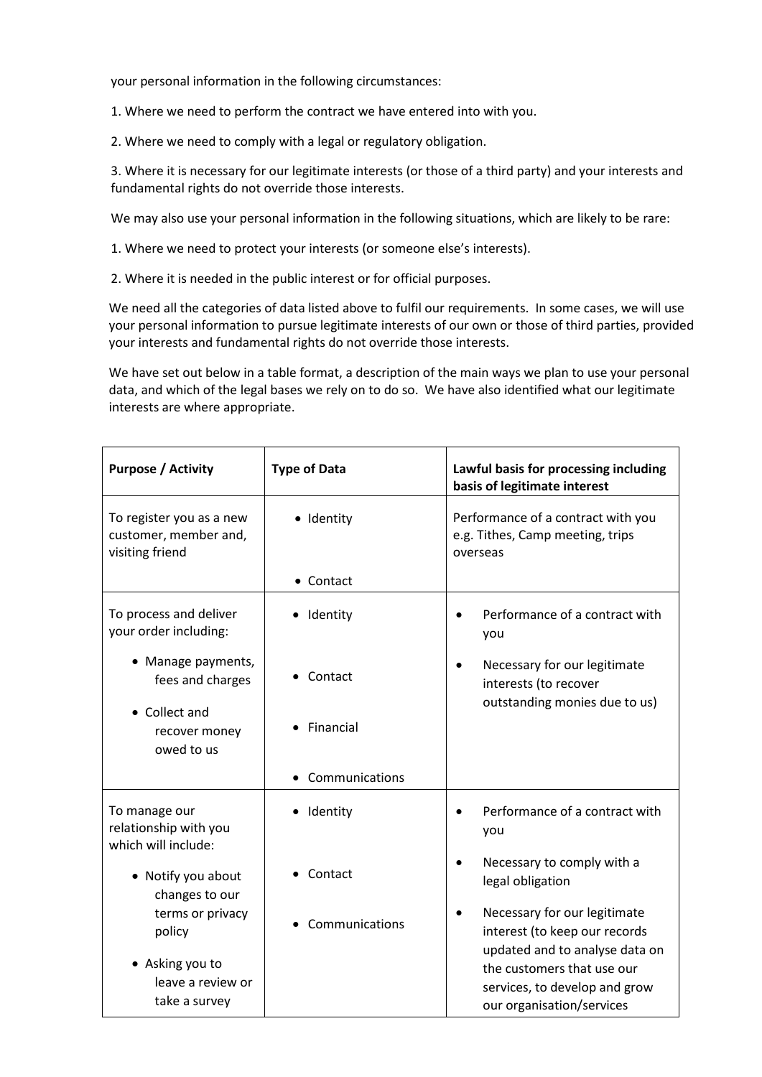your personal information in the following circumstances:

1. Where we need to perform the contract we have entered into with you.

2. Where we need to comply with a legal or regulatory obligation.

3. Where it is necessary for our legitimate interests (or those of a third party) and your interests and fundamental rights do not override those interests.

We may also use your personal information in the following situations, which are likely to be rare:

1. Where we need to protect your interests (or someone else's interests).

2. Where it is needed in the public interest or for official purposes.

We need all the categories of data listed above to fulfil our requirements. In some cases, we will use your personal information to pursue legitimate interests of our own or those of third parties, provided your interests and fundamental rights do not override those interests.

We have set out below in a table format, a description of the main ways we plan to use your personal data, and which of the legal bases we rely on to do so. We have also identified what our legitimate interests are where appropriate.

| <b>Purpose / Activity</b>                                            | <b>Type of Data</b> | Lawful basis for processing including<br>basis of legitimate interest                           |
|----------------------------------------------------------------------|---------------------|-------------------------------------------------------------------------------------------------|
| To register you as a new<br>customer, member and,<br>visiting friend | · Identity          | Performance of a contract with you<br>e.g. Tithes, Camp meeting, trips<br>overseas              |
|                                                                      | • Contact           |                                                                                                 |
| To process and deliver<br>your order including:                      | Identity            | Performance of a contract with<br>you                                                           |
| • Manage payments,<br>fees and charges                               | Contact             | Necessary for our legitimate<br>interests (to recover<br>outstanding monies due to us)          |
| • Collect and<br>recover money<br>owed to us                         | Financial           |                                                                                                 |
|                                                                      | Communications      |                                                                                                 |
| To manage our<br>relationship with you<br>which will include:        | Identity<br>٠       | Performance of a contract with<br>you                                                           |
| • Notify you about<br>changes to our                                 | Contact             | Necessary to comply with a<br>legal obligation                                                  |
| terms or privacy<br>policy                                           | Communications      | Necessary for our legitimate<br>interest (to keep our records<br>updated and to analyse data on |
| • Asking you to<br>leave a review or<br>take a survey                |                     | the customers that use our<br>services, to develop and grow<br>our organisation/services        |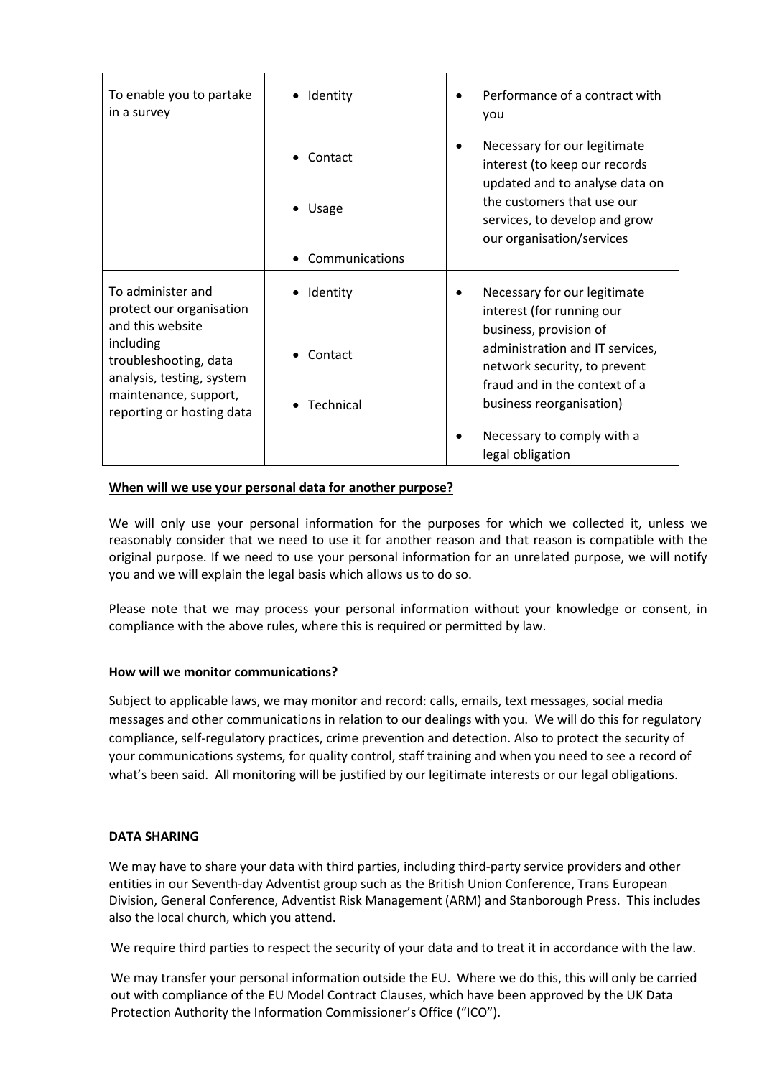| To enable you to partake<br>in a survey                                                                                                                                                    | Identity       | Performance of a contract with<br>you                                                                                      |
|--------------------------------------------------------------------------------------------------------------------------------------------------------------------------------------------|----------------|----------------------------------------------------------------------------------------------------------------------------|
|                                                                                                                                                                                            | Contact        | Necessary for our legitimate<br>interest (to keep our records<br>updated and to analyse data on                            |
|                                                                                                                                                                                            | • Usage        | the customers that use our<br>services, to develop and grow<br>our organisation/services                                   |
|                                                                                                                                                                                            | Communications |                                                                                                                            |
| To administer and<br>protect our organisation<br>and this website<br>including<br>troubleshooting, data<br>analysis, testing, system<br>maintenance, support,<br>reporting or hosting data | Identity       | Necessary for our legitimate<br>interest (for running our                                                                  |
|                                                                                                                                                                                            | Contact        | business, provision of<br>administration and IT services,<br>network security, to prevent<br>fraud and in the context of a |
|                                                                                                                                                                                            | Technical      | business reorganisation)                                                                                                   |
|                                                                                                                                                                                            |                | Necessary to comply with a<br>legal obligation                                                                             |

# **When will we use your personal data for another purpose?**

We will only use your personal information for the purposes for which we collected it, unless we reasonably consider that we need to use it for another reason and that reason is compatible with the original purpose. If we need to use your personal information for an unrelated purpose, we will notify you and we will explain the legal basis which allows us to do so.

Please note that we may process your personal information without your knowledge or consent, in compliance with the above rules, where this is required or permitted by law.

# **How will we monitor communications?**

Subject to applicable laws, we may monitor and record: calls, emails, text messages, social media messages and other communications in relation to our dealings with you. We will do this for regulatory compliance, self-regulatory practices, crime prevention and detection. Also to protect the security of your communications systems, for quality control, staff training and when you need to see a record of what's been said. All monitoring will be justified by our legitimate interests or our legal obligations.

# **DATA SHARING**

We may have to share your data with third parties, including third-party service providers and other entities in our Seventh-day Adventist group such as the British Union Conference, Trans European Division, General Conference, Adventist Risk Management (ARM) and Stanborough Press. This includes also the local church, which you attend.

We require third parties to respect the security of your data and to treat it in accordance with the law.

We may transfer your personal information outside the EU. Where we do this, this will only be carried out with compliance of the EU Model Contract Clauses, which have been approved by the UK Data Protection Authority the Information Commissioner's Office ("ICO").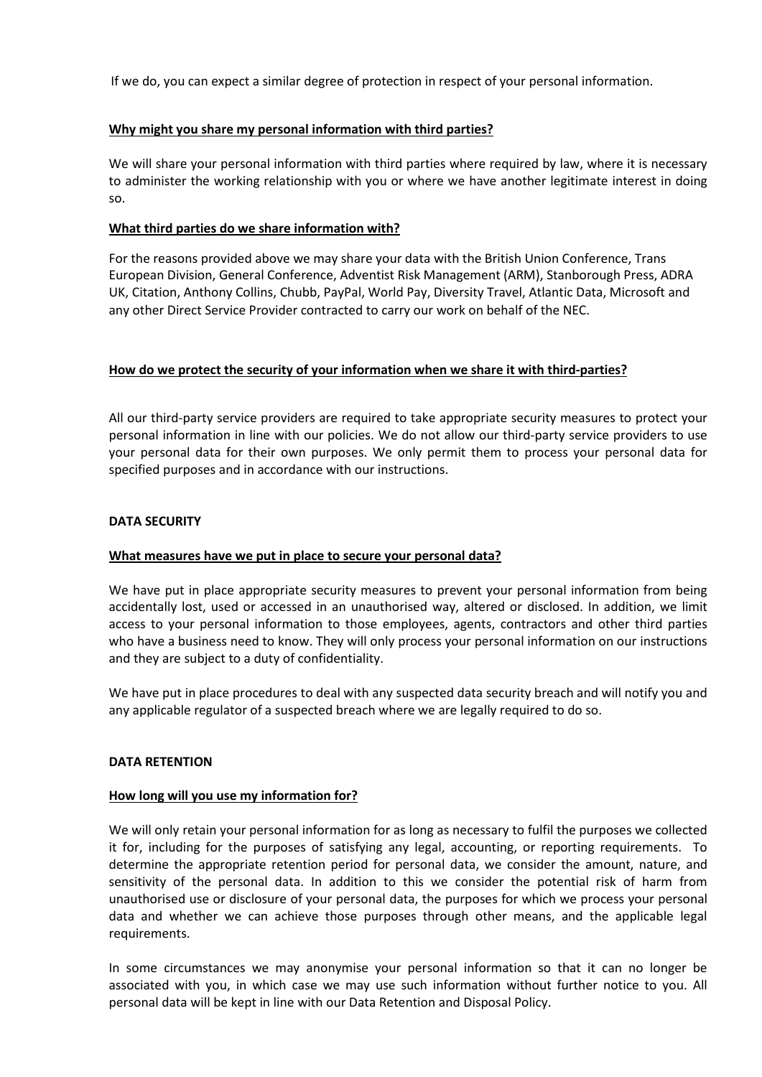If we do, you can expect a similar degree of protection in respect of your personal information.

# **Why might you share my personal information with third parties?**

We will share your personal information with third parties where required by law, where it is necessary to administer the working relationship with you or where we have another legitimate interest in doing so.

# **What third parties do we share information with?**

For the reasons provided above we may share your data with the British Union Conference, Trans European Division, General Conference, Adventist Risk Management (ARM), Stanborough Press, ADRA UK, Citation, Anthony Collins, Chubb, PayPal, World Pay, Diversity Travel, Atlantic Data, Microsoft and any other Direct Service Provider contracted to carry our work on behalf of the NEC.

# **How do we protect the security of your information when we share it with third-parties?**

All our third-party service providers are required to take appropriate security measures to protect your personal information in line with our policies. We do not allow our third-party service providers to use your personal data for their own purposes. We only permit them to process your personal data for specified purposes and in accordance with our instructions.

# **DATA SECURITY**

# **What measures have we put in place to secure your personal data?**

We have put in place appropriate security measures to prevent your personal information from being accidentally lost, used or accessed in an unauthorised way, altered or disclosed. In addition, we limit access to your personal information to those employees, agents, contractors and other third parties who have a business need to know. They will only process your personal information on our instructions and they are subject to a duty of confidentiality.

We have put in place procedures to deal with any suspected data security breach and will notify you and any applicable regulator of a suspected breach where we are legally required to do so.

# **DATA RETENTION**

# **How long will you use my information for?**

We will only retain your personal information for as long as necessary to fulfil the purposes we collected it for, including for the purposes of satisfying any legal, accounting, or reporting requirements. To determine the appropriate retention period for personal data, we consider the amount, nature, and sensitivity of the personal data. In addition to this we consider the potential risk of harm from unauthorised use or disclosure of your personal data, the purposes for which we process your personal data and whether we can achieve those purposes through other means, and the applicable legal requirements.

In some circumstances we may anonymise your personal information so that it can no longer be associated with you, in which case we may use such information without further notice to you. All personal data will be kept in line with our Data Retention and Disposal Policy.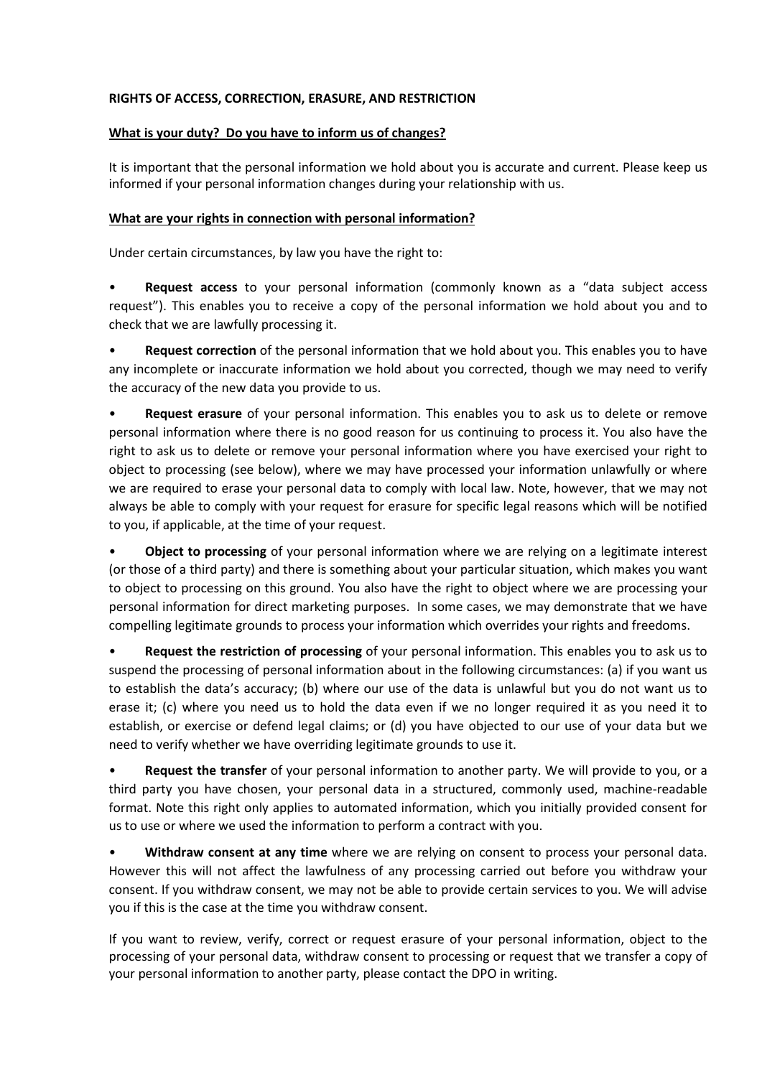# **RIGHTS OF ACCESS, CORRECTION, ERASURE, AND RESTRICTION**

# **What is your duty? Do you have to inform us of changes?**

It is important that the personal information we hold about you is accurate and current. Please keep us informed if your personal information changes during your relationship with us.

# **What are your rights in connection with personal information?**

Under certain circumstances, by law you have the right to:

• **Request access** to your personal information (commonly known as a "data subject access request"). This enables you to receive a copy of the personal information we hold about you and to check that we are lawfully processing it.

• **Request correction** of the personal information that we hold about you. This enables you to have any incomplete or inaccurate information we hold about you corrected, though we may need to verify the accuracy of the new data you provide to us.

• **Request erasure** of your personal information. This enables you to ask us to delete or remove personal information where there is no good reason for us continuing to process it. You also have the right to ask us to delete or remove your personal information where you have exercised your right to object to processing (see below), where we may have processed your information unlawfully or where we are required to erase your personal data to comply with local law. Note, however, that we may not always be able to comply with your request for erasure for specific legal reasons which will be notified to you, if applicable, at the time of your request.

• **Object to processing** of your personal information where we are relying on a legitimate interest (or those of a third party) and there is something about your particular situation, which makes you want to object to processing on this ground. You also have the right to object where we are processing your personal information for direct marketing purposes. In some cases, we may demonstrate that we have compelling legitimate grounds to process your information which overrides your rights and freedoms.

• **Request the restriction of processing** of your personal information. This enables you to ask us to suspend the processing of personal information about in the following circumstances: (a) if you want us to establish the data's accuracy; (b) where our use of the data is unlawful but you do not want us to erase it; (c) where you need us to hold the data even if we no longer required it as you need it to establish, or exercise or defend legal claims; or (d) you have objected to our use of your data but we need to verify whether we have overriding legitimate grounds to use it.

• **Request the transfer** of your personal information to another party. We will provide to you, or a third party you have chosen, your personal data in a structured, commonly used, machine-readable format. Note this right only applies to automated information, which you initially provided consent for us to use or where we used the information to perform a contract with you.

• **Withdraw consent at any time** where we are relying on consent to process your personal data. However this will not affect the lawfulness of any processing carried out before you withdraw your consent. If you withdraw consent, we may not be able to provide certain services to you. We will advise you if this is the case at the time you withdraw consent.

If you want to review, verify, correct or request erasure of your personal information, object to the processing of your personal data, withdraw consent to processing or request that we transfer a copy of your personal information to another party, please contact the DPO in writing.